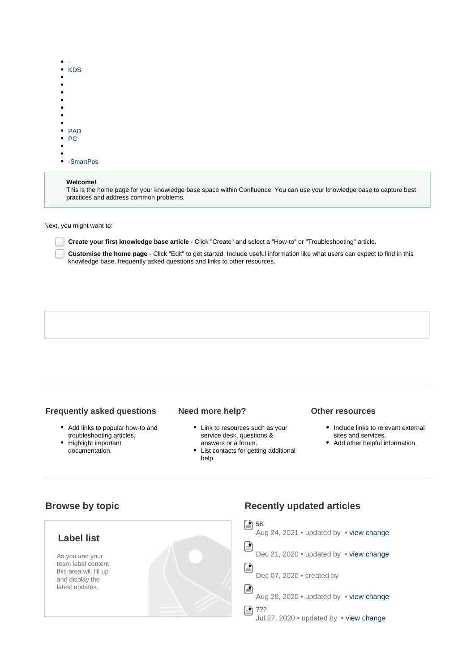|   | KDS        |
|---|------------|
| ٠ |            |
| э |            |
|   |            |
| ۰ |            |
| ۰ |            |
|   |            |
| ٠ |            |
|   | <b>PAD</b> |
| ٠ | PC.        |
| ۰ |            |
| ٠ |            |
|   | -SmartPos  |

#### **Welcome!**

This is the home page for your knowledge base space within Confluence. You can use your knowledge base to capture best practices and address common problems.

Next, you might want to:

**Create your first knowledge base article** - Click "Create" and select a "How-to" or "Troubleshooting" article.

**Customise the home page** - Click "Edit" to get started. Include useful information like what users can expect to find in this knowledge base, frequently asked questions and links to other resources.

### **Frequently asked questions**

- Add links to popular how-to and troubleshooting articles.
- Highlight important documentation.

#### **Need more help?**

- Link to resources such as your service desk, questions & answers or a forum.
- List contacts for getting additional help.

### **Other resources**

- Include links to relevant external sites and services.
- Add other helpful information.

## **Browse by topic**



# **Recently updated articles**

 $\boxed{=}$  [58](http://help.hualala.com/pages/viewpage.action?pageId=2361913) Aug 24, 2021 • updated by • [view change](http://help.hualala.com/pages/diffpagesbyversion.action?pageId=2361913&selectedPageVersions=3&selectedPageVersions=2) ⊜ Dec 21, 2020 • updated by • [view change](http://help.hualala.com/pages/diffpagesbyversion.action?pageId=1802261&selectedPageVersions=3&selectedPageVersions=2) 圓 Dec 07, 2020 · created by ⊜ Aug 29, 2020 • updated by • [view change](http://help.hualala.com/pages/diffpagesbyversion.action?pageId=1803984&selectedPageVersions=5&selectedPageVersions=4) [???](http://help.hualala.com/pages/viewpage.action?pageId=1804705) Ռ Jul 27, 2020 • updated by • [view change](http://help.hualala.com/pages/diffpagesbyversion.action?pageId=1804705&selectedPageVersions=3&selectedPageVersions=2)